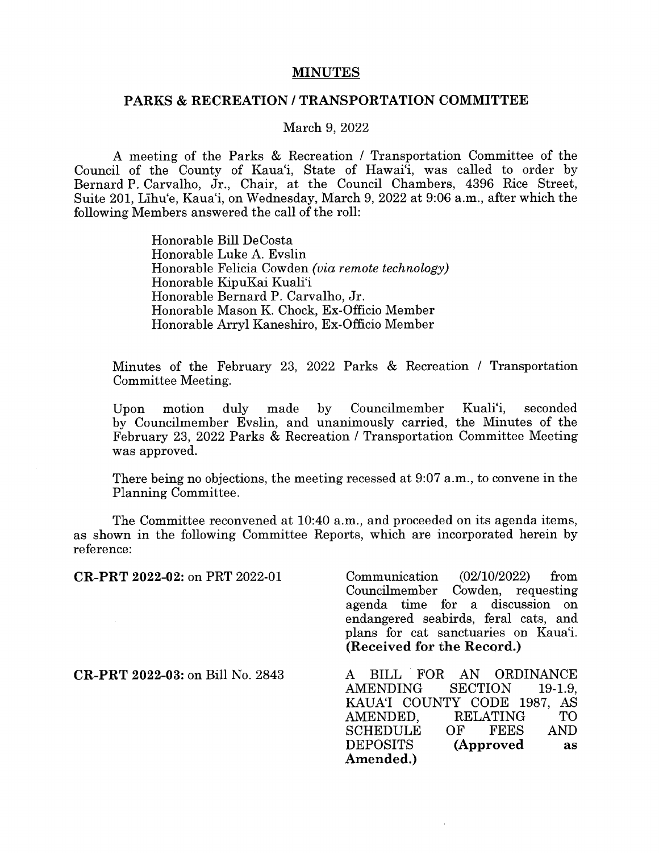## MINUTES

## PARKS & RECREATION / TRANSPORTATION COMMITTEE

## March 9, 2022

A meeting of the Parks & Recreation / Transportation Committee of the Council of the County of Kaua'i, State of Hawai'i, was called to order by Bernard P. Carvaiho, Jr., Chair, at the Council Chambers, 4396 Rice Street, Suite 201, Lihu'e, Kaua'i, on Wednesday, March 9, 2022 at 9:06 a.m., after which the following Members answered the call of the roll:

> Honorable Bill DeCosta Honorable Luke A. Evslin Honorable Felicia Cowden (via remote technology) Honorable KipuKai Kuali'i Honorable Bernard P. Carvalho, Jr. Honorable Mason K. Chock, Ex-Officio Member Honorable Arryl Kaneshiro, Ex-Officio Member

Minutes of the February 23, 2022 Parks & Recreation / Transportation Committee Meeting.

Upon motion duly made by Councilmember Kuali'i, seconded by Councilmember Evslin, and unanimously carried, the Minutes of the February 23, 2022 Parks & Recreation / Transportation Committee Meeting was approved.

There being no objections, the meeting recessed at 9:07 a.m., to convene in the Planning Committee.

The Committee reconvened at 10:40 a.m., and proceeded on its agenda items, as shown in the following Committee Reports, which are incorporated herein by reference:

| CR-PRT 2022-02: on PRT 2022-01          | $\text{Communication}$ (02/10/2022)<br>from |
|-----------------------------------------|---------------------------------------------|
|                                         | Councilmember Cowden, requesting            |
|                                         | agenda time for a discussion on             |
|                                         | endangered seabirds, feral cats, and        |
|                                         | plans for cat sanctuaries on Kaua'i.        |
|                                         | (Received for the Record.)                  |
| <b>CR-PRT 2022-03: on Bill No. 2843</b> | FOR AN ORDINANCE<br><b>BILL</b>             |
|                                         | <b>SECTION</b><br>AMENDING<br>$19-1.9$      |
|                                         | KAUAT COUNTY CODE 1987, AS                  |
|                                         | RELATING<br>TО<br>AMENDED,                  |
|                                         | SCHEDULE<br>AND<br>OF FEES                  |
|                                         | DEPOSITS<br>(Approved<br>as                 |
|                                         | Amended.)                                   |